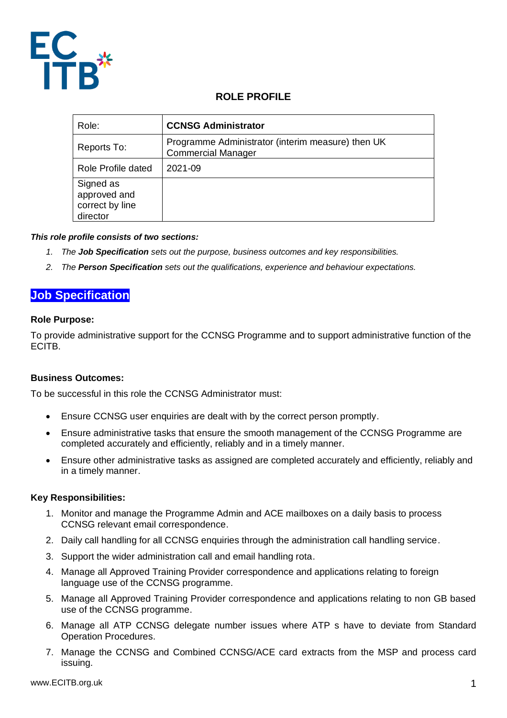

# **ROLE PROFILE**

| Role:                                                    | <b>CCNSG Administrator</b>                                                     |
|----------------------------------------------------------|--------------------------------------------------------------------------------|
| Reports To:                                              | Programme Administrator (interim measure) then UK<br><b>Commercial Manager</b> |
| Role Profile dated                                       | 2021-09                                                                        |
| Signed as<br>approved and<br>correct by line<br>director |                                                                                |

## *This role profile consists of two sections:*

- *1. The Job Specification sets out the purpose, business outcomes and key responsibilities.*
- *2. The Person Specification sets out the qualifications, experience and behaviour expectations.*

# **Job Specification**

#### **Role Purpose:**

To provide administrative support for the CCNSG Programme and to support administrative function of the ECITB.

## **Business Outcomes:**

To be successful in this role the CCNSG Administrator must:

- Ensure CCNSG user enquiries are dealt with by the correct person promptly.
- Ensure administrative tasks that ensure the smooth management of the CCNSG Programme are completed accurately and efficiently, reliably and in a timely manner.
- Ensure other administrative tasks as assigned are completed accurately and efficiently, reliably and in a timely manner.

## **Key Responsibilities:**

- 1. Monitor and manage the Programme Admin and ACE mailboxes on a daily basis to process CCNSG relevant email correspondence.
- 2. Daily call handling for all CCNSG enquiries through the administration call handling service.
- 3. Support the wider administration call and email handling rota.
- 4. Manage all Approved Training Provider correspondence and applications relating to foreign language use of the CCNSG programme.
- 5. Manage all Approved Training Provider correspondence and applications relating to non GB based use of the CCNSG programme.
- 6. Manage all ATP CCNSG delegate number issues where ATP s have to deviate from Standard Operation Procedures.
- 7. Manage the CCNSG and Combined CCNSG/ACE card extracts from the MSP and process card issuing.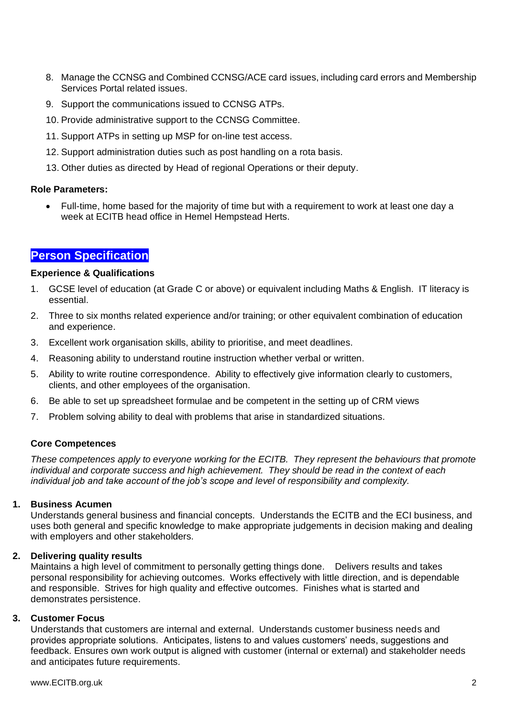- 8. Manage the CCNSG and Combined CCNSG/ACE card issues, including card errors and Membership Services Portal related issues.
- 9. Support the communications issued to CCNSG ATPs.
- 10. Provide administrative support to the CCNSG Committee.
- 11. Support ATPs in setting up MSP for on-line test access.
- 12. Support administration duties such as post handling on a rota basis.
- 13. Other duties as directed by Head of regional Operations or their deputy.

## **Role Parameters:**

• Full-time, home based for the majority of time but with a requirement to work at least one day a week at ECITB head office in Hemel Hempstead Herts.

# **Person Specification**

## **Experience & Qualifications**

- 1. GCSE level of education (at Grade C or above) or equivalent including Maths & English. IT literacy is essential.
- 2. Three to six months related experience and/or training; or other equivalent combination of education and experience.
- 3. Excellent work organisation skills, ability to prioritise, and meet deadlines.
- 4. Reasoning ability to understand routine instruction whether verbal or written.
- 5. Ability to write routine correspondence. Ability to effectively give information clearly to customers, clients, and other employees of the organisation.
- 6. Be able to set up spreadsheet formulae and be competent in the setting up of CRM views
- 7. Problem solving ability to deal with problems that arise in standardized situations.

## **Core Competences**

*These competences apply to everyone working for the ECITB. They represent the behaviours that promote individual and corporate success and high achievement. They should be read in the context of each individual job and take account of the job's scope and level of responsibility and complexity.* 

## **1. Business Acumen**

Understands general business and financial concepts. Understands the ECITB and the ECI business, and uses both general and specific knowledge to make appropriate judgements in decision making and dealing with employers and other stakeholders.

## **2. Delivering quality results**

Maintains a high level of commitment to personally getting things done. Delivers results and takes personal responsibility for achieving outcomes. Works effectively with little direction, and is dependable and responsible. Strives for high quality and effective outcomes. Finishes what is started and demonstrates persistence.

## **3. Customer Focus**

Understands that customers are internal and external. Understands customer business needs and provides appropriate solutions. Anticipates, listens to and values customers' needs, suggestions and feedback. Ensures own work output is aligned with customer (internal or external) and stakeholder needs and anticipates future requirements.